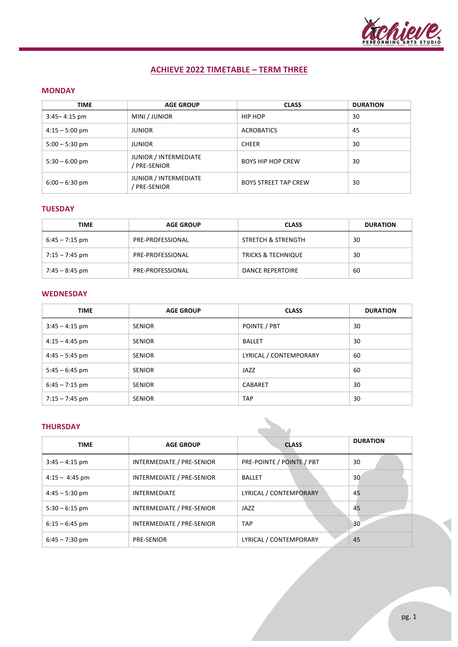

# **ACHIEVE 2022 TIMETABLE – TERM THREE**

### **MONDAY**

| <b>TIME</b>      | <b>AGE GROUP</b>                    | <b>CLASS</b>                | <b>DURATION</b> |
|------------------|-------------------------------------|-----------------------------|-----------------|
| $3:45 - 4:15$ pm | MINI / JUNIOR                       | HIP HOP                     | 30              |
| $4:15 - 5:00$ pm | <b>JUNIOR</b>                       | <b>ACROBATICS</b>           | 45              |
| $5:00 - 5:30$ pm | <b>JUNIOR</b>                       | <b>CHEER</b>                | 30              |
| $5:30 - 6:00$ pm | JUNIOR / INTERMEDIATE<br>PRE-SENIOR | <b>BOYS HIP HOP CREW</b>    | 30              |
| $6:00 - 6:30$ pm | JUNIOR / INTERMEDIATE<br>PRE-SENIOR | <b>BOYS STREET TAP CREW</b> | 30              |

## **TUESDAY**

| TIME             | <b>AGE GROUP</b> | <b>CLASS</b>                  | <b>DURATION</b> |
|------------------|------------------|-------------------------------|-----------------|
| $6:45 - 7:15$ pm | PRE-PROFESSIONAL | STRETCH & STRENGTH            | 30              |
| $7:15 - 7:45$ pm | PRE-PROFESSIONAL | <b>TRICKS &amp; TECHNIQUE</b> | 30              |
| 7:45 – 8:45 pm   | PRE-PROFESSIONAL | <b>DANCE REPERTOIRE</b>       | 60              |

### **WEDNESDAY**

| <b>TIME</b>      | <b>AGE GROUP</b> | <b>CLASS</b>           | <b>DURATION</b> |
|------------------|------------------|------------------------|-----------------|
| $3:45 - 4:15$ pm | <b>SENIOR</b>    | POINTE / PBT           | 30              |
| $4:15 - 4:45$ pm | <b>SENIOR</b>    | <b>BALLET</b>          | 30              |
| $4:45 - 5:45$ pm | <b>SENIOR</b>    | LYRICAL / CONTEMPORARY | 60              |
| $5:45 - 6:45$ pm | <b>SENIOR</b>    | JAZZ                   | 60              |
| $6:45 - 7:15$ pm | <b>SENIOR</b>    | CABARET                | 30              |
| $7:15 - 7:45$ pm | <b>SENIOR</b>    | <b>TAP</b>             | 30              |

## **THURSDAY**

| <b>THURSDAY</b>  |                           |                           |                 |
|------------------|---------------------------|---------------------------|-----------------|
| <b>TIME</b>      | <b>AGE GROUP</b>          | <b>CLASS</b>              | <b>DURATION</b> |
| $3:45 - 4:15$ pm | INTERMEDIATE / PRE-SENIOR | PRE-POINTE / POINTE / PBT | 30              |
| $4:15 - 4:45$ pm | INTERMEDIATE / PRE-SENIOR | <b>BALLET</b>             | 30 <sup>°</sup> |
| $4:45 - 5:30$ pm | <b>INTERMEDIATE</b>       | LYRICAL / CONTEMPORARY    | 45              |
| $5:30 - 6:15$ pm | INTERMEDIATE / PRE-SENIOR | JAZZ                      | 45              |
| $6:15 - 6:45$ pm | INTERMEDIATE / PRE-SENIOR | <b>TAP</b>                | 30 <sup>°</sup> |
| $6:45 - 7:30$ pm | <b>PRE-SENIOR</b>         | LYRICAL / CONTEMPORARY    | 45              |